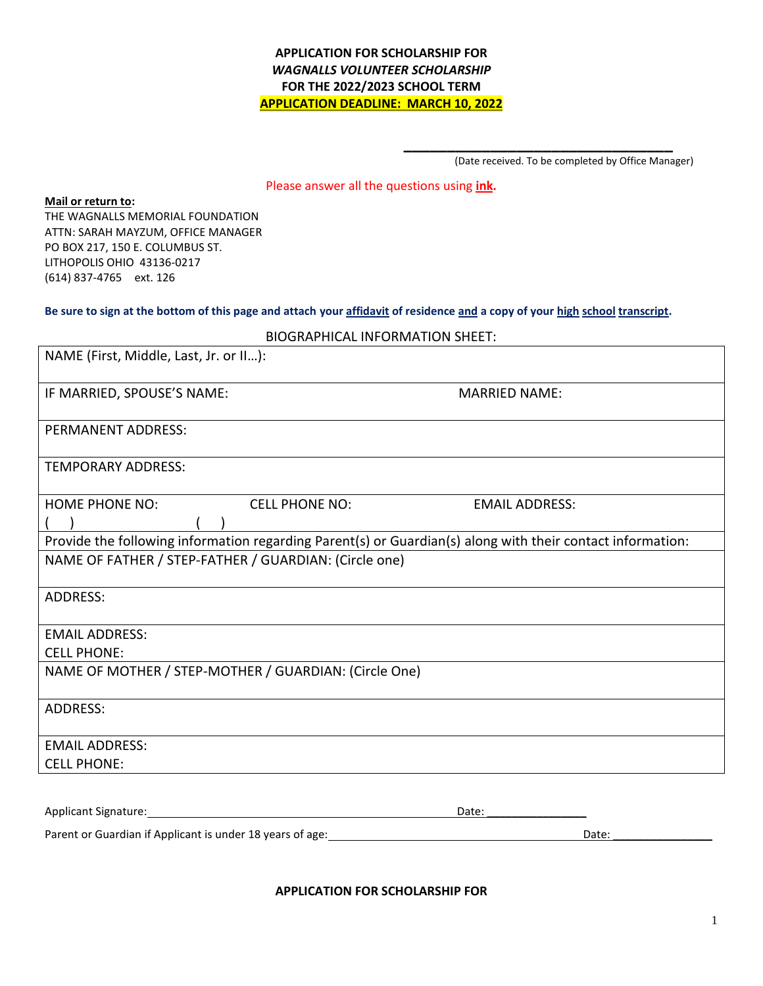### **APPLICATION FOR SCHOLARSHIP FOR** *WAGNALLS VOLUNTEER SCHOLARSHIP* **FOR THE 2022/2023 SCHOOL TERM APPLICATION DEADLINE: MARCH 10, 2022**

(Date received. To be completed by Office Manager)

**\_\_\_\_\_\_\_\_\_\_\_\_\_\_\_\_\_\_\_\_\_\_\_\_\_\_\_\_\_\_\_**

Please answer all the questions using **ink.**

#### **Mail or return to:**

THE WAGNALLS MEMORIAL FOUNDATION ATTN: SARAH MAYZUM, OFFICE MANAGER PO BOX 217, 150 E. COLUMBUS ST. LITHOPOLIS OHIO 43136-0217 (614) 837-4765 ext. 126

#### **Be sure to sign at the bottom of this page and attach your affidavit of residence and a copy of your high school transcript.**

| <b>BIOGRAPHICAL INFORMATION SHEET:</b>                                                                     |                       |                       |  |  |
|------------------------------------------------------------------------------------------------------------|-----------------------|-----------------------|--|--|
| NAME (First, Middle, Last, Jr. or II):                                                                     |                       |                       |  |  |
| IF MARRIED, SPOUSE'S NAME:                                                                                 |                       | <b>MARRIED NAME:</b>  |  |  |
| <b>PERMANENT ADDRESS:</b>                                                                                  |                       |                       |  |  |
| <b>TEMPORARY ADDRESS:</b>                                                                                  |                       |                       |  |  |
| <b>HOME PHONE NO:</b>                                                                                      | <b>CELL PHONE NO:</b> | <b>EMAIL ADDRESS:</b> |  |  |
|                                                                                                            |                       |                       |  |  |
| Provide the following information regarding Parent(s) or Guardian(s) along with their contact information: |                       |                       |  |  |
| NAME OF FATHER / STEP-FATHER / GUARDIAN: (Circle one)                                                      |                       |                       |  |  |
| <b>ADDRESS:</b>                                                                                            |                       |                       |  |  |
| <b>EMAIL ADDRESS:</b>                                                                                      |                       |                       |  |  |
| <b>CELL PHONE:</b>                                                                                         |                       |                       |  |  |
| NAME OF MOTHER / STEP-MOTHER / GUARDIAN: (Circle One)                                                      |                       |                       |  |  |
| <b>ADDRESS:</b>                                                                                            |                       |                       |  |  |
| <b>EMAIL ADDRESS:</b>                                                                                      |                       |                       |  |  |
| <b>CELL PHONE:</b>                                                                                         |                       |                       |  |  |
|                                                                                                            |                       |                       |  |  |
| Applicant Signature:                                                                                       |                       | Date:                 |  |  |

Parent or Guardian if Applicant is under 18 years of age: Date: Date: Date: Date:

**APPLICATION FOR SCHOLARSHIP FOR**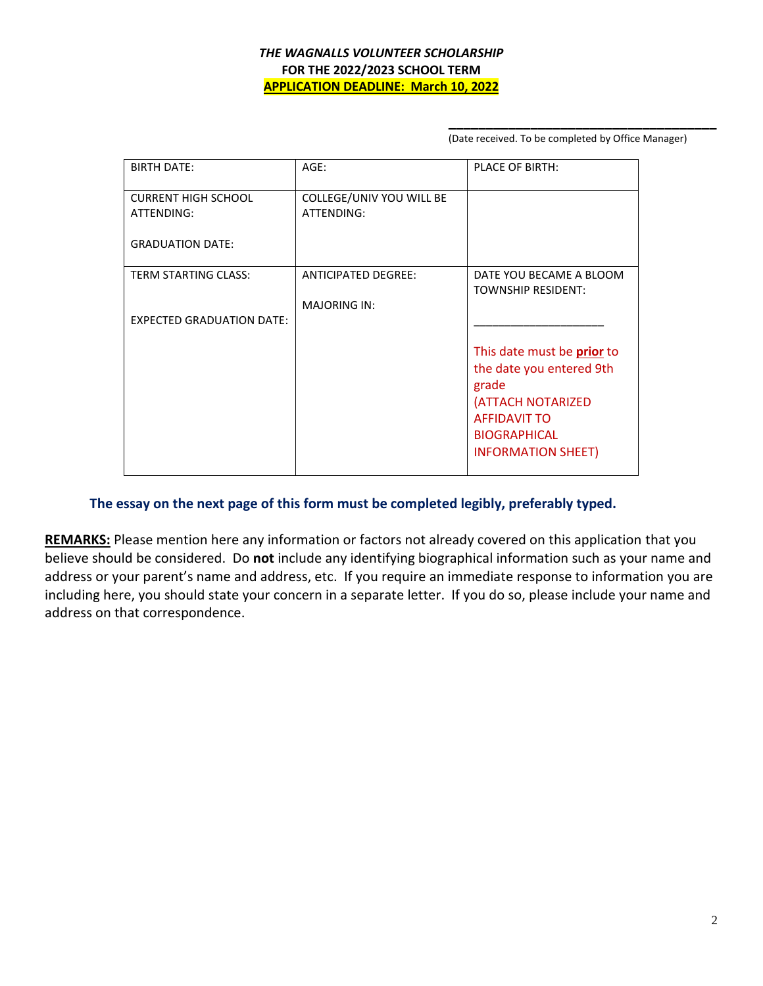### *THE WAGNALLS VOLUNTEER SCHOLARSHIP* **FOR THE 2022/2023 SCHOOL TERM APPLICATION DEADLINE: March 10, 2022**

(Date received. To be completed by Office Manager)

**\_\_\_\_\_\_\_\_\_\_\_\_\_\_\_\_\_\_\_\_\_\_\_\_\_\_\_\_\_\_\_\_\_\_\_\_**

| <b>BIRTH DATE:</b>               | AGE:                       | <b>PLACE OF BIRTH:</b>                               |
|----------------------------------|----------------------------|------------------------------------------------------|
| <b>CURRENT HIGH SCHOOL</b>       | COLLEGE/UNIV YOU WILL BE   |                                                      |
| ATTENDING:                       | ATTENDING:                 |                                                      |
| <b>GRADUATION DATE:</b>          |                            |                                                      |
| <b>TERM STARTING CLASS:</b>      | <b>ANTICIPATED DEGREE:</b> | DATE YOU BECAME A BLOOM<br><b>TOWNSHIP RESIDENT:</b> |
|                                  | <b>MAJORING IN:</b>        |                                                      |
| <b>EXPECTED GRADUATION DATE:</b> |                            |                                                      |
|                                  |                            | This date must be <b>prior</b> to                    |
|                                  |                            | the date you entered 9th                             |
|                                  |                            | grade                                                |
|                                  |                            | (ATTACH NOTARIZED                                    |
|                                  |                            | <b>AFFIDAVIT TO</b>                                  |
|                                  |                            | <b>BIOGRAPHICAL</b>                                  |
|                                  |                            | <b>INFORMATION SHEET)</b>                            |

## **The essay on the next page of this form must be completed legibly, preferably typed.**

**REMARKS:** Please mention here any information or factors not already covered on this application that you believe should be considered. Do **not** include any identifying biographical information such as your name and address or your parent's name and address, etc. If you require an immediate response to information you are including here, you should state your concern in a separate letter. If you do so, please include your name and address on that correspondence.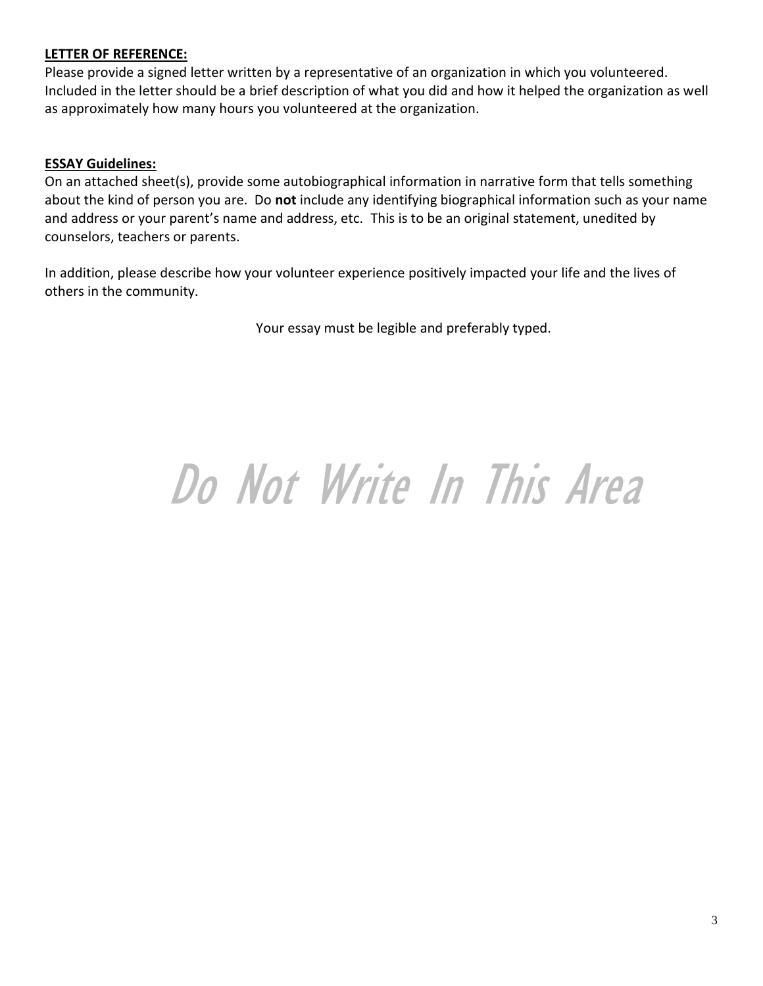# **LETTER OF REFERENCE:**

Please provide a signed letter written by a representative of an organization in which you volunteered. Included in the letter should be a brief description of what you did and how it helped the organization as well as approximately how many hours you volunteered at the organization.

## **ESSAY Guidelines:**

On an attached sheet(s), provide some autobiographical information in narrative form that tells something about the kind of person you are. Do **not** include any identifying biographical information such as your name and address or your parent's name and address, etc. This is to be an original statement, unedited by counselors, teachers or parents.

In addition, please describe how your volunteer experience positively impacted your life and the lives of others in the community.

Your essay must be legible and preferably typed.

# Do Not Write In This Area